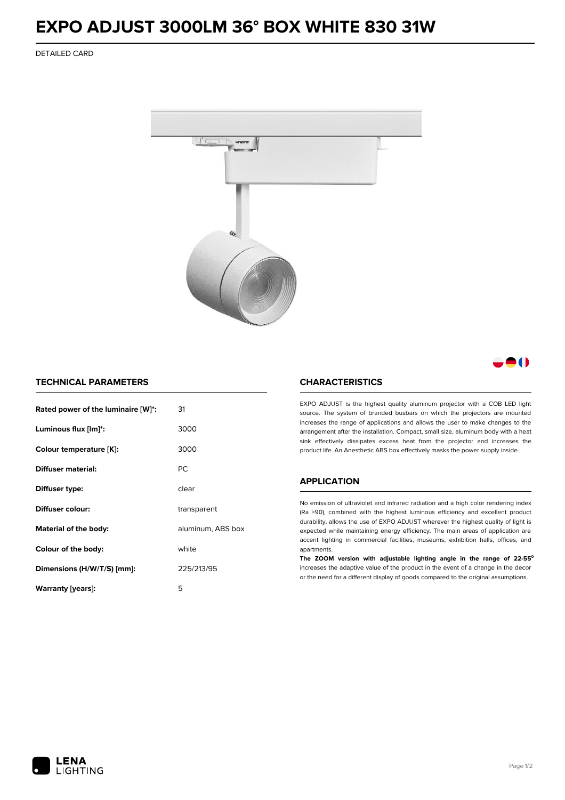## **EXPO ADJUST 3000LM 36° BOX WHITE 830 31W**

DETAILED CARD



### M

#### **TECHNICAL PARAMETERS**

| Rated power of the luminaire [W]*: | 31                |  |
|------------------------------------|-------------------|--|
| Luminous flux [lm]*:               | 3000              |  |
| Colour temperature [K]:            | 3000              |  |
| Diffuser material:                 | РC                |  |
| Diffuser type:                     | clear             |  |
| Diffuser colour:                   | transparent       |  |
| Material of the body:              | aluminum, ABS box |  |
| Colour of the body:                | white             |  |
| Dimensions (H/W/T/S) [mm]:         | 225/213/95        |  |
| Warranty [years]:                  | 5                 |  |

#### **CHARACTERISTICS**

EXPO ADJUST is the highest quality aluminum projector with a COB LED light source. The system of branded busbars on which the projectors are mounted increases the range of applications and allows the user to make changes to the arrangement after the installation. Compact, small size, aluminum body with a heat sink effectively dissipates excess heat from the projector and increases the product life. An Anesthetic ABS box effectively masks the power supply inside.

#### **APPLICATION**

No emission of ultraviolet and infrared radiation and a high color rendering index (Ra >90), combined with the highest luminous efficiency and excellent product durability, allows the use of EXPO ADJUST wherever the highest quality of light is expected while maintaining energy efficiency. The main areas of application are accent lighting in commercial facilities, museums, exhibition halls, offices, and apartments.

**The ZOOM version with adjustable lighting angle in the range of 22-55⁰** increases the adaptive value of the product in the event of a change in the decor or the need for a different display of goods compared to the original assumptions.